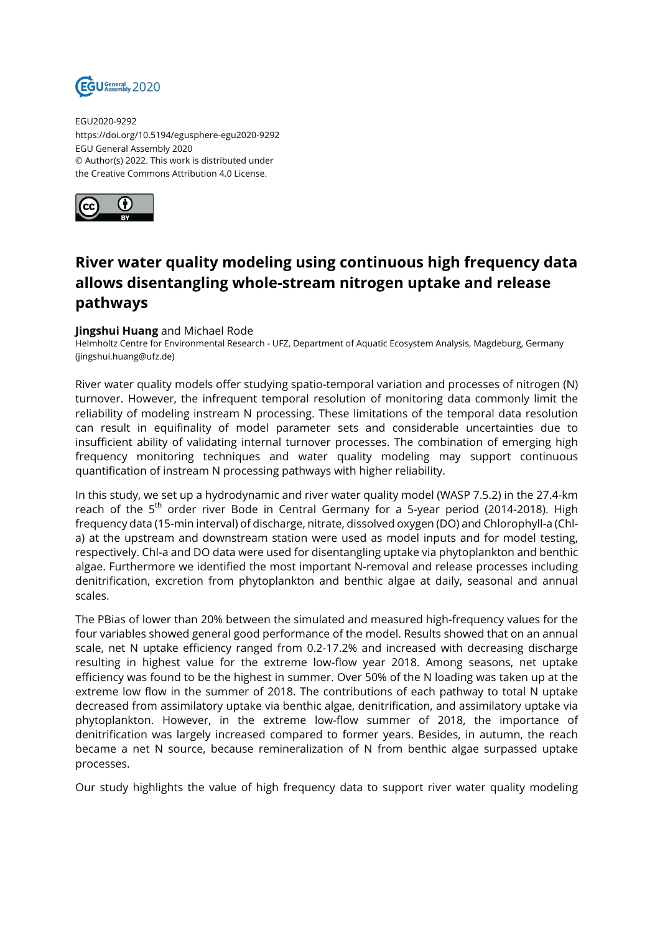

EGU2020-9292 https://doi.org/10.5194/egusphere-egu2020-9292 EGU General Assembly 2020 © Author(s) 2022. This work is distributed under the Creative Commons Attribution 4.0 License.



## **River water quality modeling using continuous high frequency data allows disentangling whole-stream nitrogen uptake and release pathways**

## **Jingshui Huang** and Michael Rode

Helmholtz Centre for Environmental Research - UFZ, Department of Aquatic Ecosystem Analysis, Magdeburg, Germany (jingshui.huang@ufz.de)

River water quality models offer studying spatio-temporal variation and processes of nitrogen (N) turnover. However, the infrequent temporal resolution of monitoring data commonly limit the reliability of modeling instream N processing. These limitations of the temporal data resolution can result in equifinality of model parameter sets and considerable uncertainties due to insufficient ability of validating internal turnover processes. The combination of emerging high frequency monitoring techniques and water quality modeling may support continuous quantification of instream N processing pathways with higher reliability.

In this study, we set up a hydrodynamic and river water quality model (WASP 7.5.2) in the 27.4-km reach of the 5<sup>th</sup> order river Bode in Central Germany for a 5-year period (2014-2018). High frequency data (15-min interval) of discharge, nitrate, dissolved oxygen (DO) and Chlorophyll-a (Chla) at the upstream and downstream station were used as model inputs and for model testing, respectively. Chl-a and DO data were used for disentangling uptake via phytoplankton and benthic algae. Furthermore we identified the most important N-removal and release processes including denitrification, excretion from phytoplankton and benthic algae at daily, seasonal and annual scales.

The PBias of lower than 20% between the simulated and measured high-frequency values for the four variables showed general good performance of the model. Results showed that on an annual scale, net N uptake efficiency ranged from 0.2-17.2% and increased with decreasing discharge resulting in highest value for the extreme low-flow year 2018. Among seasons, net uptake efficiency was found to be the highest in summer. Over 50% of the N loading was taken up at the extreme low flow in the summer of 2018. The contributions of each pathway to total N uptake decreased from assimilatory uptake via benthic algae, denitrification, and assimilatory uptake via phytoplankton. However, in the extreme low-flow summer of 2018, the importance of denitrification was largely increased compared to former years. Besides, in autumn, the reach became a net N source, because remineralization of N from benthic algae surpassed uptake processes.

Our study highlights the value of high frequency data to support river water quality modeling